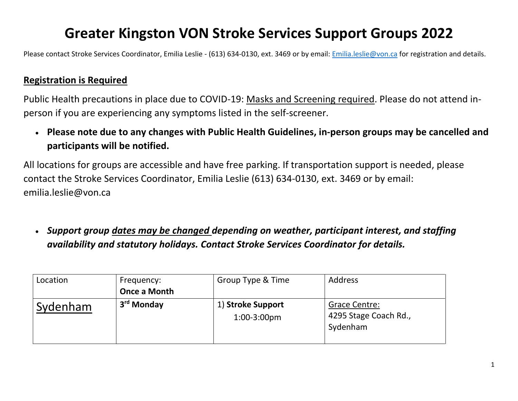#### **Greater Kingston VON Stroke Services Support Groups 2022**

Please contact Stroke Services Coordinator, Emilia Leslie - (613) 634-0130, ext. 3469 or by email: [Emilia.leslie@von.ca](mailto:Emilia.leslie@von.ca) for registration and details.

#### **Registration is Required**

Public Health precautions in place due to COVID-19: Masks and Screening required. Please do not attend inperson if you are experiencing any symptoms listed in the self-screener.

• **Please note due to any changes with Public Health Guidelines, in-person groups may be cancelled and participants will be notified.**

All locations for groups are accessible and have free parking. If transportation support is needed, please contact the Stroke Services Coordinator, Emilia Leslie (613) 634-0130, ext. 3469 or by email: [emilia.leslie@von.ca](mailto:emilia.leslie@von.ca)

• *Support group dates may be changed depending on weather, participant interest, and staffing availability and statutory holidays. Contact Stroke Services Coordinator for details.*

| Location | Frequency:             | Group Type & Time                   | <b>Address</b>                                     |
|----------|------------------------|-------------------------------------|----------------------------------------------------|
|          | <b>Once a Month</b>    |                                     |                                                    |
| Sydenham | 3 <sup>rd</sup> Monday | 1) Stroke Support<br>$1:00-3:00$ pm | Grace Centre:<br>4295 Stage Coach Rd.,<br>Sydenham |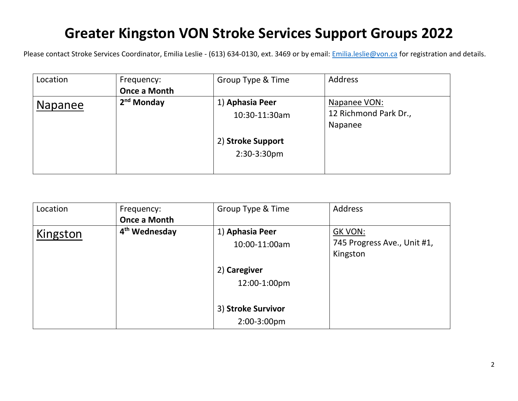#### **Greater Kingston VON Stroke Services Support Groups 2022**

Please contact Stroke Services Coordinator, Emilia Leslie - (613) 634-0130, ext. 3469 or by email: **Emilia.leslie@von.ca** for registration and details.

| Location       | Frequency:<br><b>Once a Month</b> | Group Type & Time                                                    | <b>Address</b>                                   |
|----------------|-----------------------------------|----------------------------------------------------------------------|--------------------------------------------------|
| <b>Napanee</b> | 2 <sup>nd</sup> Monday            | 1) Aphasia Peer<br>10:30-11:30am<br>2) Stroke Support<br>2:30-3:30pm | Napanee VON:<br>12 Richmond Park Dr.,<br>Napanee |

| Location | Frequency:                | Group Type & Time  | Address                     |
|----------|---------------------------|--------------------|-----------------------------|
|          | <b>Once a Month</b>       |                    |                             |
| Kingston | 4 <sup>th</sup> Wednesday | 1) Aphasia Peer    | <b>GK VON:</b>              |
|          |                           | 10:00-11:00am      | 745 Progress Ave., Unit #1, |
|          |                           |                    | Kingston                    |
|          |                           | 2) Caregiver       |                             |
|          |                           | 12:00-1:00pm       |                             |
|          |                           |                    |                             |
|          |                           | 3) Stroke Survivor |                             |
|          |                           | 2:00-3:00pm        |                             |